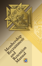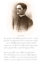$c\rightarrow 2$ *Times may change, but the challenges facing people remain the same. A need for food, shelter, warm clothing, financial security and aid for widows and orphans — these were all challenges that faced the members of Father Michael J. McGivney's parish. To help meet these challenges, Father McGivney brought together a group of Catholic men and formed the Knights of Columbus. Today our society still faces the same challenges that confronted people in 1882. While making great strides to overcome these challenges, Knights of Columbus councils will never waiver in their commitment of continuing Father*

*McGivney's vision of service to people in need in our parishes and communities.*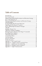### **Table of Contents**

| Implementing Membership Recruitment and Retention Strategy4 |  |
|-------------------------------------------------------------|--|
|                                                             |  |
| Planning Membership Recruitment and Retention Strategy      |  |
|                                                             |  |
|                                                             |  |
|                                                             |  |
|                                                             |  |
|                                                             |  |
|                                                             |  |
|                                                             |  |
| Planning Frequent Admission (First Degree) Ceremonials12    |  |
|                                                             |  |
|                                                             |  |
|                                                             |  |
|                                                             |  |
|                                                             |  |
|                                                             |  |
|                                                             |  |
| Appendix B - Certified Council Ceremonial Team21            |  |
|                                                             |  |
|                                                             |  |
|                                                             |  |
|                                                             |  |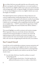Just as Father McGivney personally asked the men of his parish to assis<br>him in meeting the needs of his parishioners, so too must members of ust as Father McGivney personally asked the men of his parish to assist your council ask every eligible Catholic man to join your council and assist with meeting people's needs. As Supreme Knight Carl Anderson reminded us, "It is our moral obligation to invite every eligible Catholic man to join the Knights of Columbus."

This *Membership Recruitment and Retention Manual* will assist your council in implementing a membership program that will: increase your council's manpower to assist parish and community members by providing for those in need — CHARITY; provide the opportunity for eligible Catholic men to work together and accomplish great deeds that they could not accomplish alone — UNITY; and provide the opportunity to build the bonds of friendship with council members that will last a lifetime — FRATERNITY.

This manual highlights successful recruitment and retention strategies. What's important is that your council takes the basic information contained in this manual and adapts it to work for your council. By implementing successful recruitment and retention strategies, your council continues the vision of our founder and assists people in need while at the same time strengthening the bonds that unite your members.

#### **Star Council Award**

Councils that excel in membership recruitment, insurance promotion and charitable service outreach may be eligible for the Star Council Award, which recognizes the efforts that councils put forth in continuing Father McGivney's mission. In order for your council to earn the Star Council Award, it must:

- $\Box$  Earn the Father McGivney Award for excellence in council membership growth.
	- Conduct frequent church drives. Visit kofc.org/drive for additional information on how to conduct a church drive.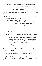- **•** Schedule monthly Admission (First Degree) Ceremonials.
- Invite prospective members to volunteer in one of your council's service programs. After the program, invite the prospective member to join your council.

The information contained in this manual offers solid ideas on how to earn the Father McGivney Award.

- $\Box$  Earn the Founders' Award for excellence in the promotion of our insurance and fraternal benefits.
	- **.** Conduct Fraternal Benefits Nights.
	- **•** Ensure that completed *Membership Documents* (#100) are promptly delivered to your council's insurance agent.
	- $\bullet$  Invite your council's insurance agent to speak at council meetings.

The information contained in this manual offers solid ideas on how to earn the Founders' Award.

- $\Box$  Earn the Columbian Award for well-rounded council programs.
	- $\bullet$  Your council should conduct at least four major programs in each of the Surge . . . with Service categories of Church, Community, Council, Culture of Life, Family and Youth. As an alternative, you may complete one Featured Program in each category to fulfill requirements.
	- **Complete the** *Columbian Award Application* (#SP-7) and submit by June 30.

Please see the *Surge* . . . *with Service* (#962) manual for ideas on how to earn the Columbian Award.

r Submit the *Service Program Personnel Report* (#365) by Aug. 1.

Using the Member Management Application in the secure Officers Online section of the Knights of Columbus website is the easiest way to submit this information.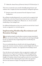r Submit the *Annual Survey of Fraternal Activity*(#1728) due by Jan. 31.

This survey accounts for your council's charitable giving of money and volunteer time. Complete the form electronically by visiting kofc.org/forms.

 $\Box$  Remain current with assessments from the Supreme Council headquarters.

By excelling in membership growth, your council can be recognized with multiple stars on the Star Council Award. Earn the Star Council Award and attain 200 percent, 300 percent, 400 percent, etc. of your council's membership to earn multiple stars.

For additional information on how your council can earn the Star Council Award, see Appendix A or visit kofc.org/star.

### **Implementing Membership Recruitment and Retention Strategy**

**B** egin implementing the membership recruitment strategy immediately  $\bigcup$  after your election of officers. Your council's newly elected grand knight has the very important duty of appointing both the membership and program directors.

The new membership director should work with the grand knight to appoint the retention committee chairman and the Knights that will serve on the Admission Committee. (See Appendix D for Standing Council Committees).

Once the directors and committee chairs are appointed, complete and submit the *Service Program Personnel Report* (#365) through Member Management no later than Aug. 1. The report can also be found on the Knights of Columbus website at kofc.org/forms and in the *Council Report Forms Booklet* (#1436). Submitting this report allows the appointed directors and chairmen to begin receiving important information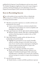published by the Supreme Council headquarters and your state council. The Member Management Application is also used to report changes to committee chairmen during the year or by submitting a new Service Program Personnel Report (#365) with only the changed information.

#### **Keys to Recruiting Success**

Share with members of your council the *10 Keys to Membership*<br>Recruiting Success (#10233) and keep these tips in mind when recruiting a potential member:

- $\Box$  Talk about your positive experiences as a member and share your enthusiasm for your council.
	- $\bullet$  Convey a sense of enthusiasm, excitement and pride when talking about the great things your council accomplishes and the people your council helps.
- $\Box$  Make a good impression with the right attitude and body language.
	- $\bullet$  Maintain a positive attitude, smile often, avoid being negative, and always look the prospective member in the eye when talking with him.
- $\Box$  Talk to the prospective member and his wife about the ways membership can benefit his family.
	- $\bullet$  Highlight how participation in your council's charitable endeavors can help a man grow in his faith. Point out that many of your council's activities and programs, including the insurance program and other benefits, are open to the member's entire immediate family.
- $\Box$  Show unity when conducting a charitable service project.
	- When members, their families and other volunteers wear Knights of Columbus-branded apparel while conducting a charitable project, it identifies your council to the community and entices prospective members to inquire about joining your council.
- $\Box$  Ask men to join your council.
	- Family, friends, co-workers and fellow parishioners represent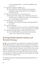recruitment opportunities  $-$  ask if they would like to join your council.

- $\Box$  Approach recruiting in a different way.
	- Ask a prospective member "Would you be interested in learning more about membership in our local Knights of Columbuscouncil?"
- $\Box$  What to say when the answer is "I don't have time."
	- Be prepared with a simple answer. Tell them the amount of time they put in is completely up to them, and remind them of your council's family-oriented activities.
- $\Box$  Promote your council's spirituality.
	- Emphasize your council's involvement in the spiritual life of your parish.
- $\Box$  Involve young people.
	- Ask young men to join your council. Use targeted advertising, especially social media, to reach younger prospective members.
- $\Box$  Follow-up with all prospective members in a timely manner.
	- $\bullet$  It is essential that follow-up communication, by personal contact, occurs within a few days at the most.

### **Planning Membership Recruitment and Retention Strategy**

Once your council's directors and chairmen are appointed, the grand<br>knight should call an organizational meeting. Invite your financial secretary; council chaplain; program and membership directors, with their respective committee chairmen; and other council officers to the meeting. Hold the meeting immediately after the appointment of the committee chairmen and before Aug. 1. Set the groundwork for the entire fraternal year, planning your membership and insurance goals, budget, and calendar for social and service program events.

The membership portion of the organizational meeting should focus on the following: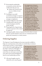- $\Box$  Reviewing the membership recruitment activities that were conducted in the past year.
	- Analyze the reasons for the success or failure ofeach project.
- $\Box$  Deciding on successful recruitment strategies to repeat in the current fraternal year and new strategies to implement.
- $\Box$  Setting a budget for each activity.
- $\Box$  Setting tentative dates for each activity, keeping in mind the parish calendar.
- $\Box$  Preparing the list of agreed upon activities to present to the council for approval.

**It is important to keep in mind the requirements for earning the Star Council Award. Your council needs to earn the Father McGivney Award for membership recruitment and the Founders' Award for insurance promotion to be eligible to earn the Star Council Award. Additional information on earning the Star Council Award is provided in Appendix A, or by visiting the Knights of Columbus Fraternal Training Portal or kofc.org/star.**

 $\Box$  Alerting the public relations chairman of activity dates to ensure that the council's initiatives and events are communicated to the parish and community in a timely manner.

## **Ordering Supplies**

The Supreme Council headquarters has many materials available to help your council promote and conduct its membership recruitment

and retention activities. Council supplies can be ordered through knightsgear.com, the Order's website for all Knights of Columbus-related gift and clothing needs. Here are some tips to ensure that your order is processed and shipped in time for your membership activities:

 $\Box$  All council supplies must be ordered by your council's grand **The Supreme Council headquarters has many certificates available for presentation to members in recognition of their accomplishments or outstanding service. Visit knightsgear.com for a complete list of certificates.**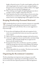knight or financial secretary. To order council supplies and have the order charged against the council's account, each grand knight or financial secretary must first log in to Officers Online. Oncelogged in, officers may access the link to knightsgear.com.

- $\Box$  When ordering council supplies through knightsgear.com, there is no longer a need to complete a *Requisition Form* (#1).
- $\Box$  Order materials at least four weeks in advance of your activity date. Materials that are needed sooner will be shipped in an expedited manner, however, extra shipping charges will be applied to the order.

## **Keeping Membership Personnel Motivated**

The membership director and each committee chairman are responsible for keeping the membership personnel motivated. It is natural to appreciate recognition for a job well-done. Here are some suggestions to keep morale high:

- $\Box$  Be sure that each Knight gets full credit and recognition for his work. An occasional personal written note may mean a great deal to the recipient.
- $\Box$  Make use of current membership campaign awards and incentives.
- $\Box$  Listen to the suggestions of your council members and acknowledge good advice. Tell your brother Knight that you appreciate his interest and will consider his idea.
- $\Box$  Be prepared to listen when a member has a question or problem. Guide him, but get him to do most of the thinking. This indicates respect for his judgment, giving him confidence and a feeling of importance.
- $\Box$  Accept responsibility for your mistakes. This shows your team that you know that you are human and fallible.

### **Organizing the Recruitment Committee**

The first and perhaps most important step in setting up a successful membership program is organizing your membership committees. The key is to ensure that these important positions are filled and appointees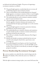are dedicated and enthusiastic Knights. The process of organizing a recruitment committee is as follows:

- $\Box$  The grand knight appoints a membership director to oversee all membership programs and recruitment activities.
- $\Box$  Upon recommendation of the membership director, the grand knight appoints a recruitment committee of three or more Knights. He should select successful recruiters or sales-oriented members.
- $\Box$  The membership director and recruitment committee members form two-man recruitment teams.
- $\Box$  The grand knight, upon recommendation of the membership director, appoints a retention chairman and committee. It is recommended that the deputy grand knight serve on the retention committee.
- $\Box$  The grand knight appoints an insurance promotion chairman, preferably the council's insurance agent.
- $\Box$  The membership director, committee chairmen and committees set goals and plan specific recruitment, retention and insurance promotion activities for the entire year.
- $\Box$  Plan a full year's schedule of monthly Admission (First Degree) Ceremonials.
- $\Box$  Identify and schedule recruitment methods that best suit your council's needs and goals (church drives, open houses, team recruiting, etc).
- $\Box$  Set membership goals (exceed quota, earn Star Council, break the previous recruitment record,etc.). Get the ENTIRE council involved. Those who don't recruit directly can identify and suggest prospective members.

### **Proven Membership Recruitment Strategies**

In a survey, members were asked why they waited so long to join the Knights of Columbus. All too often the answer was "nobody ever  $\blacksquare$  n a survey, members were asked why they waited so long to join the asked me."

With the right recruitment strategy in place, your council will ensure that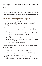every eligible Catholic man in your parish has the opportunity to join your council. A direct result of recruiting is your council's ability to increase its charitable impact in your parish and community.

While this manual contains only a few examples of recruitment activities, it is meant to inspire your council into action. By recruiting new members, your council is continuing Father McGivney's vision and commitment of providing assistance to people in your parish and community.

## **VIP Club (Very Important Proposer)**

The VIP Club not only publicly honors recruiters, but also inspires **L** everyone to do their part in the ongoing recruitment drives. Membership in the VIP Club is automatic when:

- $\Box$  You recruit two or more members and complete section 5 of the *Membership Document* (#100) with your name and membership number.
	- The Department of Fraternal Services maintains VIP Club records and only provides year-to-date and life-to-date totals.
- $\Box$  VIP Club members are eligible to earn recognition certificates, special lapel pins and Knights of Columbus-branded merchandise.
	- $\bullet$  Higher levels of the VIP Club are attained with the more prospective members you recruit.

Your responsibilities as proposer don't end with the signed *Membership Document* (#100):

- $\Box$  You should accompany the prospect to the Admission Committee meeting and Admission (First Degree) Ceremonial.
- $\Box$  At the new member's first council meeting, introduce him to his brother Knights and make him feel welcome.
- $\Box$  If you notice that he stops volunteering for charitable outreach programs or attending meetings, make personal contact with him.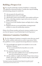## **Building a Prospect List**

Your council's membership committee should have a continuously<br>updated list of potential members. Consider these steps for building and maintaining a prospective member list:

- $\Box$  Ask your pastor for the parish roster.
- $\Box$  Add all local priests who are not Knights.
- $\Box$  Add all ushers, parish council members, choir members and lectors.
- $\Box$  Form a welcoming committee to greet and recruit new men and families of the parish.
- $\Box$  Recruit 18-year-old Columbian Squires and high school or college graduates.
- $\Box$  Regularly advertise in your parish bulletin, inviting potential members to contact the membership committee.

Obtain a list of former members and inactive insurance members in your area from the Supreme Council Membership Growth Department.<sup>1</sup>

### **Admission Committee Guidelines**

Use of an Admission Committee is essential to ensure that your council<br>and the candidate understand one another's expectations. Follow these guidelines to ensure a properly functioning Admission Committee:

- $\Box$  The grand knight must appoint seven members to serve on the Admission Committee.
	- $\bullet$  It is recommended that the chancellor serve on this Committee.
- $\Box$  The committee should meet on an ad hoc basis.
	- $\bullet$  This ensures that candidates do not wait extended periods of time to be welcomed into your council.
- $\Box$  Ask the candidate to complete the *Member/Prospect Interest Survey* (#1842), and usethe *Admission Committee Inquiries Guide* (#390) to screen the candidate.

 $^{\rm 1}$  Reactivating inactive insurance members qualifies for both membership and insurance additions toward the Father McGivney and Founders' awards quotas. Reinstatements, readmissions or reapplications qualify for membership additions for the Father McGivney Award.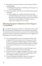- r Immediately forward the *Admission Committee Report* (#283) to the grand knight.
	- Reading of the application and balloting should take place at the next council meeting.
- $\Box$  Advise the candidate of the date for the Admission (First Degree) Ceremonial.
	- $\bullet$  If the candidate has a conflict with the date/time of the scheduled Admission (First Degree) Ceremonial, utilize the First Degree Video Production, located in the secure Officers Online section of the Knights of Columbus website, to welcome the candidate into your council.

#### **Planning Frequent Admission (First Degree) Ceremonials**

It is essential that prospective members are welcomed into your council<br>in a timely manner. Scheduling at least one Admission (First Degree) **L**in a timely manner. Scheduling at least one Admission (First Degree) Ceremonial per month ensures that recruiters know the schedule and that prospective members won't be kept waiting. Here are some suggestions to help organize your council's ceremonial:

- $\Box$  Your council should have its own ceremonial team. Please refer to Appendix B for more information on forming a team. Until the team is certified by the district deputy, use the First Degree Ceremonial Production, available on Officers Online or through the Ceremonials Department, to welcome members into your council.
- $\Box$  Publicize the ceremonial schedule at council meetings, in your council's newsletter and on your council's website.
- **T** Ensure that you have a supply of *Candidate's Kits* (#531), which include a rosary, a copy of *These Men They Call Knights* (#937) and a *Knights of Columbus lapel pin* (PG-107).
- $\Box$  Contact the prospective member in advance to confirm his attendance and advise him of the recommended attire.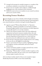- $\Box$  Arrange for the prospective member's proposer or a member of the recruitment committee to escort him to the ceremonial.
- $\Box$  Present your new members with certificates, available through knightsgear.com, at the conclusion of the ceremonial.
- $\Box$  Publish the names of your new members in your council's newsletter and on your council's website.

#### **Recruiting Former Members**

Former Knights are men who are familiar with the Knights of Columbus.<br>They left the Order for various reasons but represent a pool of prospects your council should not overlook in striving for membership growth.

- r Appoint a special "Welcome Back, Brother" or "Operation Re-Member" committee specifically to recruit former members. Past grand knights familiar with circumstances of earlier departures are especially suited to serve on this committee.
- $\Box$  Obtain a list of former members (those who took withdrawals/ suspensions) and inactive insurance members (those who took withdrawals/suspensions but maintain K of C insurance policies) from the Department of Fraternal Services. Check with your financial secretary for additional names and recent addresses.
- $\Box$  Review the list to determine former members known to be residing in the area who are still eligible for membership.
- $\Box$  Prepare a presentation for former members, highlighting changes; new programs, activities and benefits; and recent council achievements.
- $\Box$  Contact each former member to arrange a personal visit, or invite them to a reception for former members.
- $\Box$  If planning a "Welcome Back" or former-member reception, use the open house procedures. Be sure to invite your council chaplain and insurance agent to speak at the event.

Ask every former member visited or those at your reception to sign a *Membership Document* (#100) to renew their membership.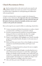### **Church Recruitment Drives**

church recruitment drive is the easiest way for your council to ask **L**qualified Catholic men to join your council. A successful church recruitment drive is dependent on careful planning and collaboration with your parish priest.

A church recruitment drive is meant to compile a list of prospective members'contact information. **It is imperative that your council follows up with the prospective member within a few days and invites him and his family to learn more about the charitable activities your council conducts in the parish and community.**

Here are the steps for your council to follow in conducting a church drive:

- $\Box$  Contact your pastor and obtain his permission to conduct a church recruitment drive at all Masses on a particular weekend.
- $\Box$  Provide an announcement for inclusion in your parish bulletin during each of the two weeks before the drive. For a sample announcement, please see Appendix E or kofc.org/drive.
- $\Box$  Prepare a council display which highlights your council's charitable programs and member benefits, then place it in the main entry of thechurch.
- $\Box$  Before each Mass, post teams of two or three Knights at each entry to hand out council informational flyers and *Prospect Cards*  $($ #921A).
- $\Box$  Leave pens or sharpened pencils in each pew for men to complete the *Prospect Card* (#921A).
- $\Box$  Arrange for your pastor, grand knight or membership director to make a brief announcement prior to or after Mass, explaining the Knights of Columbus and the charitable works conducted by your council. For a sample pulpit announcement, please see Appendix E or kofc.org/drive. Encourage men to complete the *Prospect Card*  $(4921A)$  and hand it to Knights as they leave church.
- $\Box$  After each Mass, post teams of Knights at each exit to answer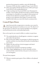questions from prospective members, assist with *Membership Documents* (#100) and collect completed *Prospect Cards* (#921A).

- r Deliver allcompleted *Membership Documents* (#100) and *Prospect Cards* (#921A) to the membership director.
- $\Box$  Assign recruiting teams for personal follow-ups with prospective members. Team members should invite prospects and their families to participate in a charitable service program; inform prospects of the dates for the Admission Committee interview; and invite prospects to the Admission (First Degree) Ceremonial, which should be held within one week of the church recruitment drive.

## **Council Open House**

An open house provides an opportunity to introduce your council to<br>a broad range of prospective members at one event. The objective of the open house is to showcase your council's charitable service programs, social and fraternal activities, and membership benefits.

Here are the steps for your council to follow to conduct an open house:

- $\Box$  The membership director should appoint a committee to organize and conduct the open house.
- $\Box$  Plan activities that children can participate in while the prospective members and their wives learn about the benefits of membership in your council.
- $\Box$  Publicize the date and time in local newspapers and church bulletins, and on local radio.
- $\Box$  Send open house invitations to prospective members.
- $\Box$  Make a display highlighting your council's charitable activities, awards and other council activities, then post it at the entrance to your meeting place.

The open house program:

 $\Box$  Welcome committee greets guests. Direct children to the planned activities.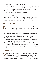- $\Box$  Opening prayer by your council's chaplain.
- $\Box$  Grand knight or membership director should explain your council's charitable programs, and its social and fraternal activities.
- $\Box$  Your council's field agent should explain benefits of membership.
- $\Box$  A question and answer session.
- $\Box$  Conclude with refreshments or light buffet.

At the conclusion of the program, recruiters should ask prospective members to join and assist them in completing a *Membership Document* (#100). Prospects should also be informed of the dates for the Admission Committee screening and Admission (First Degree) Ceremonial.

## **Team Recruiting**

Recruiting in teams of two brings twice the enthusiasm and knowledge<br>of your council to the recruiting process. Here are the steps for your council to follow when conducting team recruiting:

- $\Box$  Organize two-man teams from the membership committee and additional members of your council.
- $\Box$  Divide your council's prospective member list among the teams.
- $\Box$  Schedule a visit with each prospective member and his wife.
- $\Box$  Invite the prospective member and his family to participate in a scheduled council charitable program.
- $\Box$  Ask the prospective member to join your council. Assist him in completing the *Membership Document* (#100) and accompany him to the Admission Committee screening and Admission (First Degree) Ceremonial.

#### **Insurance Promotion**

One of the primary reasons Father McGivney founded the Knights of Columbus was to providefinancial security to families after the death of a spouse whosejob was the main or only source of income. Knights of Columbus Insurance is among the most highly-rated insurance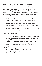companies in North America and continues to provide protection "by brother Knights and for brother Knights." Scheduling frequent fraternal benefits nights provides members with the opportunity to learn about Knights of Columbus Insurance products and to discuss their insurance needs with a field agent. This will also set your council on the path to earning the Founders' Award. Here are the steps for your council to follow for promoting Knights of Columbus Insurance products and hosting a fraternal benefits night:

- □ Send copies of all completed *Membership Documents* (#100) to your council's general agent immediately after the Admission (First Degree) Ceremonial.
- $\Box$  Invite your council's field agent to speak at all council meetings.
- $\Box$  Ask your council's field agent to write an article for your council's newsletter.
- $\Box$  Have your field agent appointed as Insurance Promotion Chairman by your council's grand knight.

To host a fraternal benefits night:

- $\Box$  At the request of the grand knight, your council's field agent should schedule and conduct the fraternal benefits night. The agent is in charge of this event.
- $\Box$  To enhance the educational experience of the evening, the agent may invite presenters such as accountants, lawyers or bankers to offer professional insight on the value of life insurance and annuities.
- $\Box$  Provide the meeting space.
- $\Box$  Plan activities for children during the presentations.
- $\Box$  Provide gifts or door prizes.
- $\Box$  Serve light refreshments.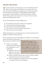### **Member Retention**

The task of member retention begins as soon as the Admission (First<br>Degree) Ceremonial is conferred upon a new member. From the start, new members should be encouraged to be active and to participate in the Formation (Second Degree) and Knighthood (Third Degree) Ceremonials. To inspire both new and current First Degree members, that have been inactive more than one year, to be active in your council, promote the Shining Armor Award.

To earn the Shining Armor Award, Knights must:

- $\Box$  Be involved in at least three council service programs.
- $\Box$  Attend at least three business meetings.
- $\Box$  Receive their Second and Third Degrees.
- $\Box$  Meet with your council's insurance representative.
- $\Box$  Recruit at least one new member.

Additional information on the Shining Armor Award can be found on the Knights of Columbus website, kofc.org.

Your council must ensure that each Knight has the ability to earn the Shining

Armor Award. Here are some steps to take to ensure your members succeed:

- $\Box$  Set the service program calendar early in the fraternal year and publicize it to the membership.
	- Regularly review service programs to determine if they were successful.

**Membership retention is every member's responsibility. Personal follow-up is the most productive form of retention.If you notice your friend, neighbor or co-worker is not as involved in your council as he once was, a phone call, handwritten note or personal visit is recommended.**

- <sup>l</sup> Send out a *Member/Prospect Interest Survey* (#1842) annually to determine the interests of your members.
- $\bullet$  Utilize the suggestions of members for new service programs or to improve current service programs.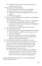- Ask different members to take leadership roles in service programs and your council.
- $\Box$  Make council meetings productive.
	- $\bullet$  Utilize members' time efficiently on meeting nights.
	- Present information in a clear and concise manner.
	- $\bullet$  Hold officer meetings to limit lengthy discussion in council meetings.
	- $\bullet$  Follow a meeting agenda.
- r Provide a schedule of Formation (Second Degree) and Knighthood (Third Degree) Ceremonials.
	- **•** Encourage First Degree members to advance to higher degrees.
	- $\bullet$  Council members of higher degrees should accompany members to the Formation (Second Degree) and Knighthood (Third Degree) Ceremonials.
	- $\bullet$  Ask members to take leadership roles in your council.
- $\Box$  Host fraternal benefits nights.
	- $\bullet$  Invite the field agent to council meetings and allow him to speak.
	- $\bullet$  Ask the field agent to contribute an article to your council's newsletter or Web page.
	- **•** Ensure that the financial secretary forwards *Membership Documents* (#100) to the general agent immediately after Admission (First Degree) Ceremonials.
- $\Box$  Schedule monthly Admission (First Degree) Ceremonials.

 $\Box$  Your council's financial secretary should provide your retention committee with a list of brother Knights in danger of being suspended. Contact these members and discuss their reasons for being inactive. Urge them to become active again in an upcoming charitable or fraternal activity.

**•** The Supreme Council has established the *Proper Billing Procedures Including Use of the* "*Notice of Intent to Suspend*"  $(#1845A)$ . Please be sure to follow these procedures in an effort to retain members in danger of being suspended.

Through implementing the points above, your council will keep all members involved and active.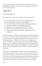For more information on membership recruitment and retention, visit the Knights of Columbus website, kofc.org, or the Knights of Columbus Fraternal Training Portal.

## **Appendix A**

#### **Star Council Award**

In order for your council to earn the Star Council Award, it must:

- $\Box$  Earn the Father McGivney Award for membership growth.
- $\Box$  Earn the Founders' Award for insurance growth.
- $\Box$  Earn the Columbian Award for well-rounded council programs.
- r Submit the *Columbian Award Application* (#SP-7).
- r Submit the *Service Program Personnel Report* (#365).
- r Submit the *Annual Survey of Fraternal Activity* (#1728).
- $\Box$  Remain current with assessments from the Supreme Council headquarters.

The Father McGivney Award recognizes excellence in membership growth. Each year, your council is assigned a membership quota from the Supreme Council. For the award, growth is considered to be net increase over losses through suspension or withdrawal. Deaths do not count against your quota, and transfers in or out of your council do not count for or against your quota. Your council quota can be found under the Membership tab in Officers Online, which is updated daily. Eligibility for the Father McGivney Award is automatically determined by the Supreme Council and there is no application.

The Founders' Award recognizes excellence in your council's promotion of our insurance products. Each year, your council is assigned an insurance quota from the Supreme Council. For the award, growth is considered to be net gain above losses through suspensions and withdrawals and transfers from insurance to associated membership. Deaths do not count against your quota, and transfers in or out of your council do not count for or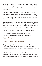against your quota. Your council quota can be found under the Membership tab in Officers Online, which is updated daily. There is no application for the Founders' Award, aseligibility is automatically determined by the Supreme Council.

The Columbian Award recognizes your council's charitable service activities and programs. In order to earn the Columbian Award, your council must complete at least four major programs or activities in each of the six "Surge... with Service" program categories (Church, Community, Council, Culture of Life, Family and Youth).

As an alternative, the Supreme Council has designated select programs as "Featured Programs" in each of the Service Program categories. When your council successfully conducts a Featured Program, it automatically fulfills all four activity requirements for that Service Program category.

To be eligible for this award, two forms must be submitted and accepted:

- r *Service Program Personnel Report* (#365), due Aug. 1.
- □ *Columbian Award Application* (#SP-7), due June 30.

# **Appendix B**

#### **Certified Council Ceremonial Team**

Your grand knight is directly responsible for the formation or continuation of your council's First Degree Ceremonial team. When your council has its own team, it has greater opportunities to welcome more members into your council.

A First Degree Ceremonial team can be formed with four members and your council's financial secretary. Your council chair officers may assume team roles, but the opportunity to do so should be open to all members of your council.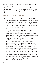Although the Admission (First Degree) Ceremonial may be conducted by reading the parts, it is preferred that your team memorizes the necessary text. Once team members have memorized their parts and are able to deliver the Admission (First Degree) Ceremonial in an inspiring manner, they should be fully certified (along with backup members) by the district deputy.

#### **First Degree Ceremonial Guidelines**

- r Thefinancial secretary or grand knight must order *Candidates Kits*  $($ #531) by logging into the Officers Online section of the Knights of Columbus website and clicking the link to KnightsGear. Each candidate kit consists of a rosary, a prayer card, a blank membership card, a *Knights of Columbus pin* (#PG-107), a copy of the booklet *These Men They Call Knights* (#937) and information on the Shining Armor Award.
- $\Box$  The grand knight is in charge of this degree, which may be conferred prior to, during, following or separately from a regular council meeting. The degree team officers need not be current chair officers. Degree team officers may wear the Supreme Council Ceremonial baldric over a dark-colored business suit with the council jewel of office. Ceremonial baldrics are available from the following official fraternal suppliers: Lynch and Kelly, Inc.; Les Entreprises Roger Sauvé; and The English Company.
- $\Box$  Reading degree parts is allowed, as is the use of the Narration CD and the *First Degree Video Production*. However, memorization is the preferred method of delivery. A team may exemplify a degree before being certified by the district deputy. When team members are ready for certification, the grand knight should request the district deputy to certify them on a mutually agreed date and time.
- $\Box$  The financial secretary and the warden should be the custodians of the books, CD and DVD. The warden should have the council chamber arranged as shown on Diagram A, page 6, in the *First Degree Ceremonial Book* (#2080).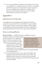$\Box$  Your council should host an Admission (First Degree) Ceremonial on a monthly basis. A candidate need not travel far or wait extended periods of time to join your council. If your council's ceremonial team is not available or thecandidate has a conflict with the date/time of the scheduled ceremonial, use the First Degree Video Production to advance the candidate.

## **Appendix C**

#### **Qualifications for Membership**

The qualifications for membership in the Knights of Columbus are contained in Section 101 of the Laws of the Order. They are as follows: "Only practical Catholics in union with the Holy See shall be eligible to and entitled to continue membership in the Order. An applicant for membership shall not be less than 18 years of age on his last birthday."

#### **There are no other qualifications.**

**Practical Catholic** — Guidelines have been established to assist the

Admission Committee in determining the practical Catholicity of an applicant or member. The main components of the requirement may be described as follows:

 $\Box$  A practical Catholic accepts the teaching authority of the Catholic Church on matters of faith and morals, aspires to live in accordance

**If questions regarding the practical Catholicity of an applicant or member arise, the pastor of the applicant or member should be consulted before any action is taken.**

with the precepts of the Catholic Church, and is in good standing in the Catholic Church.

 $\Box$  A practical Catholic strives to have a greater knowledge of the teaching of Christ and his Church, and to accept, respect and defend the Church's authority (vested in the supreme pontiff, and the hierarchy and clergy united with him) to teach, govern and sanctify the faithful.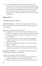$\Box$  A practical Catholic gives material and moral support to the Church and her works on all levels, promoting the programs of the parish and diocese and coming to the aid of the missions, the needy and the underprivileged; supports and advances the just causes of minority groups; endeavors to eliminate unjust discrimination, prejudice, etc.; and supports the Church in her defense of marriage and family life.

## **Appendix D**

#### **Standing Council Committees**

**Admission Committee** — Ensures that the applicant understands the Order and that the council understands what the candidate expects from his membership.

A properly functioning Admission Committee:

- $\Box$  Is comprised of seven members who are appointed by the grand knight. The chancellor is recommended to serve on this committee.
- $\Box$  Requests the candidates to complete the *Member/Prospect Interest Survey* (#1842).
- r Forwards the *Admission Committee Report* (#283) to the grand knight. The report is read at a council meeting and followed by candidate balloting.
- $\Box$  Informs the candidates of the date for the next Admission (First Degree) Ceremonial.
- $\Box$  Asks new members, after First Degree Ceremonial, to consider joining in the committees and activities that match their interests.

**Recruitment Committee** — Constantly keeps a fresh list of potential candidates for membership in your council.

A properly functioning recruitment committee:

- $\Box$  Is comprised of three or more members appointed by the grand knight in collaboration with the membership director.
- $\Box$  Identifies and schedules recruitment drives, which should include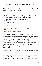Church recruitment drives, open houses and team recruiting initiatives.

**Retention Committee** — Keeps the members of your council interested and participating in council activities.

A properly functioning retention committee:

- $\Box$  Is comprised of the deputy grand knight, council trustees and any other members who are appointed by the grand knight.
- $\Box$  Recognizes each member's accomplishments.
- $\Box$  Ensures new members are introduced to the council membership and made to feel welcome.
- $\Box$  Communicates with members to remind them of meetings and activities.

## **Appendix E — Sample Announcements**

#### **Sample Pulpit Announcement**

It is my pleasureto introduceto you members of \_\_\_ (council name) \_\_\_\_\_\_\_ of the Knights of Columbus. You may already know some of the Knights from our council here or from some of our 15,000 councils worldwide. The nearly 2 million members of the Knights of Columbus form the largest Catholic fraternal group in existence. As Knights, we serve our parish and community while working each day to create a better world through charity. If you are looking to live out your faith in the spirit of charity by helping others, our Knights of Columbus council welcomes you to join them.

Knights and their families have the opportunity to become involved in our council's charitable, faith-based and social programs.

Over the past decade, men like you have enabled the charitable donations of the Knights of Columbus to reach more than \$1.5 billion dollars, and individual Knights have donated more than 690 million volunteer hours to charity.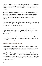Since its founding in 1882 by the Venerable Servant of God Father Michael McGivney, the first principle of the Order has been charity. Our council and those around the world actively assist the Church and our neighbors in need.

We were also founded to protect the livelihood of Catholic families, and that commitment means we continue to provide our members and their families with top quality life insurance and annuity products. No life insurer in North America has a higher rating than the Knights of Columbus.

Today, we would like to offer you the opportunity to join us in our work for God and neighbor. Our council has undertaken many activities that benefit our parish, such as: (list council activities).

As a member of our council, you will strengthen your faith and become a better Catholic, husband and father. Through your support of our parish and community, you will form friendships with fellow Knights that can last a lifetime.

As much good as our council has done over the past year, we could do even more with your help. We invite you to join our council today and help us be the difference in our parish and community.

#### **Sample Bulletin Announcement**

If you're interested in helping those in need, serving our parish, growing in faith or obtaining exclusive access to top-rated insurance protection for your family, then the Knights of Columbus is the organization for you.

\_\_\_\_ (Council Name) \_\_\_\_ willconduct a membership drive aftereach Mass on \_\_\_ (Insert Dates) \_\_\_\_\_. Please consider joining our council. For more information, visit kofc.org , \_\_ (Council web address) \_\_\_ or contact \_\_\_ (Insert Membership Director Name) \_\_\_ at \_\_\_ (Insertemail address or telephone number) \_\_\_.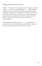#### **Sample Endorsement From Priests**

I'd like to take a moment to encourage the men of our parish to consider joining \_\_\_\_ (Name of Council and Number) \_\_\_\_\_ of the Knights of Columbus, here in our parish. Membership in this Catholic fraternal organization will give you the opportunity to strengthen our parish and give back to our community; exclusive access to a top-rated insurance program to protect your family; and the ability to grow in your faith. These are just some of the reasons to join our council here in \_\_\_\_ (Name of Parish) \_\_\_.

Following Mass there will be members of \_\_\_\_\_ (Council Name) \_\_\_\_\_ at the church exits. Please take the time to speak with them, learn more about this wonderful organization and become a member.